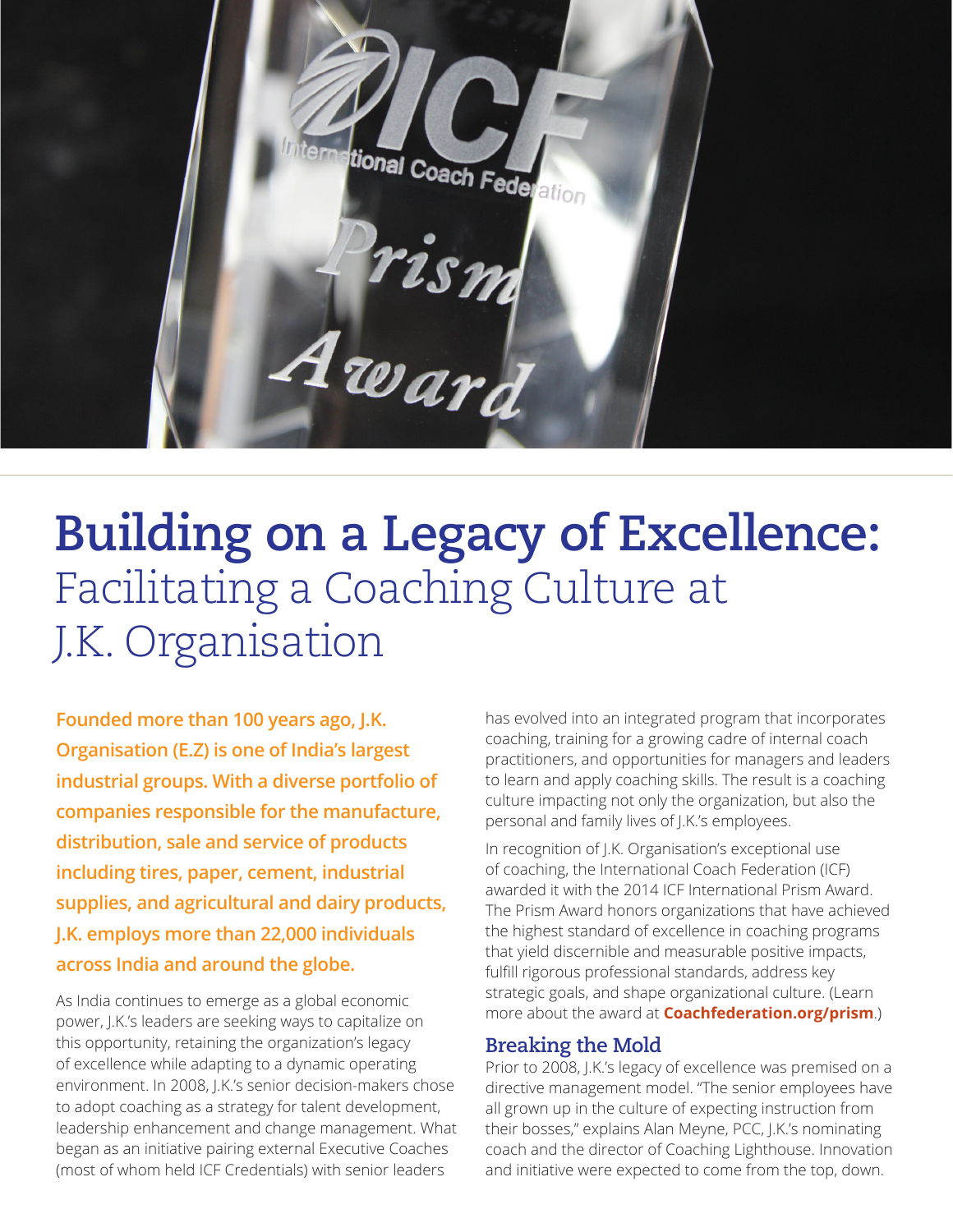

## **Building on a Legacy of Excellence:**  Facilitating a Coaching Culture at J.K. Organisation

**Founded more than 100 years ago, J.K. Organisation (E.Z) is one of India's largest industrial groups. With a diverse portfolio of companies responsible for the manufacture, distribution, sale and service of products including tires, paper, cement, industrial supplies, and agricultural and dairy products, J.K. employs more than 22,000 individuals across India and around the globe.**

As India continues to emerge as a global economic power, J.K.'s leaders are seeking ways to capitalize on this opportunity, retaining the organization's legacy of excellence while adapting to a dynamic operating environment. In 2008, J.K.'s senior decision-makers chose to adopt coaching as a strategy for talent development, leadership enhancement and change management. What began as an initiative pairing external Executive Coaches (most of whom held ICF Credentials) with senior leaders

has evolved into an integrated program that incorporates coaching, training for a growing cadre of internal coach practitioners, and opportunities for managers and leaders to learn and apply coaching skills. The result is a coaching culture impacting not only the organization, but also the personal and family lives of J.K.'s employees.

In recognition of J.K. Organisation's exceptional use of coaching, the International Coach Federation (ICF) awarded it with the 2014 ICF International Prism Award. The Prism Award honors organizations that have achieved the highest standard of excellence in coaching programs that yield discernible and measurable positive impacts, fulfill rigorous professional standards, address key strategic goals, and shape organizational culture. (Learn more about the award at **[Coachfederation.org/prism](http://Coachfederation.org/prism)**.)

## **Breaking the Mold**

Prior to 2008, J.K.'s legacy of excellence was premised on a directive management model. "The senior employees have all grown up in the culture of expecting instruction from their bosses," explains Alan Meyne, PCC, J.K.'s nominating coach and the director of Coaching Lighthouse. Innovation and initiative were expected to come from the top, down.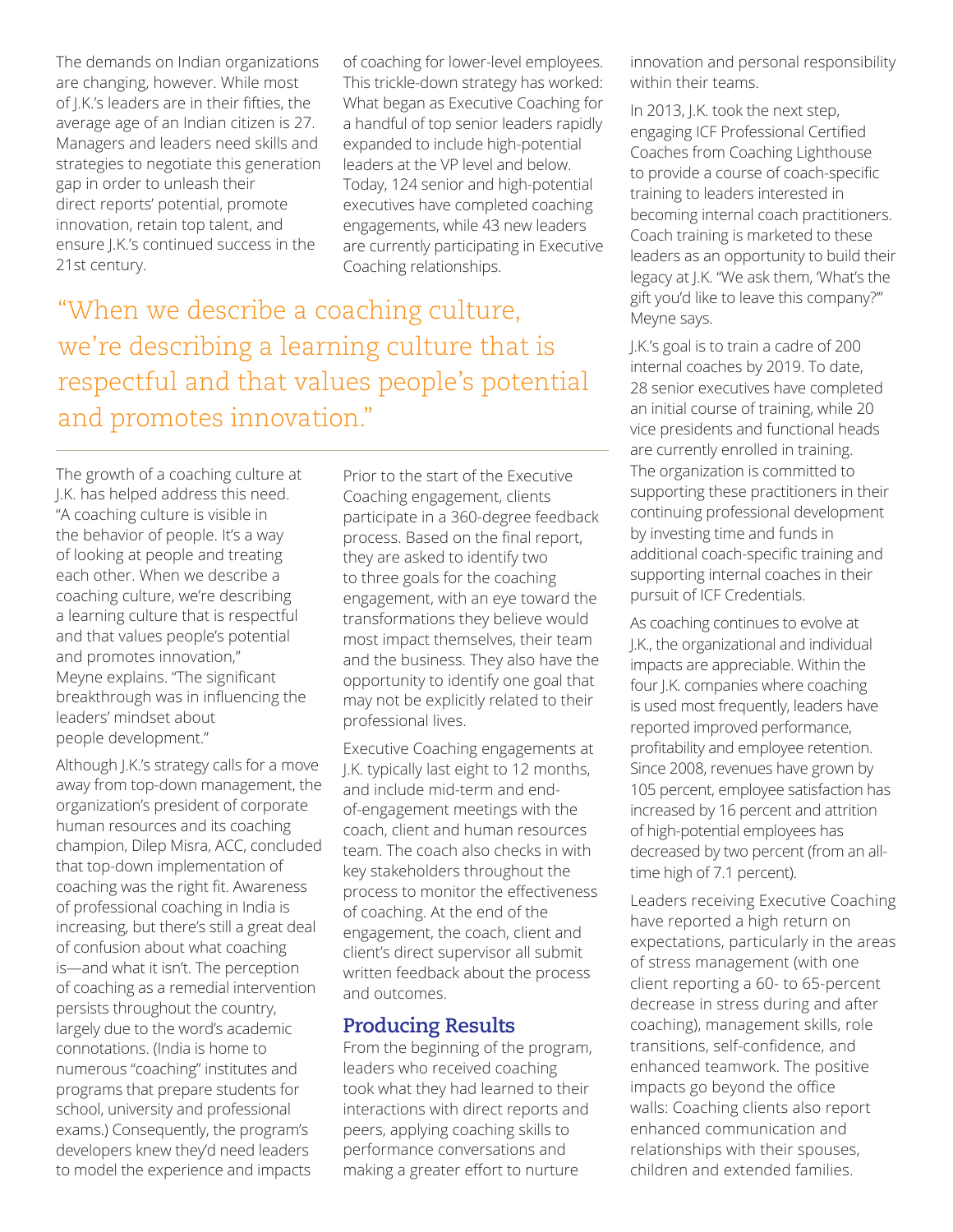The demands on Indian organizations are changing, however. While most of J.K.'s leaders are in their fifties, the average age of an Indian citizen is 27. Managers and leaders need skills and strategies to negotiate this generation gap in order to unleash their direct reports' potential, promote innovation, retain top talent, and ensure J.K.'s continued success in the 21st century.

of coaching for lower-level employees. This trickle-down strategy has worked: What began as Executive Coaching for a handful of top senior leaders rapidly expanded to include high-potential leaders at the VP level and below. Today, 124 senior and high-potential executives have completed coaching engagements, while 43 new leaders are currently participating in Executive Coaching relationships.

"When we describe a coaching culture, we're describing a learning culture that is respectful and that values people's potential and promotes innovation."

The growth of a coaching culture at J.K. has helped address this need. "A coaching culture is visible in the behavior of people. It's a way of looking at people and treating each other. When we describe a coaching culture, we're describing a learning culture that is respectful and that values people's potential and promotes innovation," Meyne explains. "The significant breakthrough was in influencing the leaders' mindset about people development."

Although J.K.'s strategy calls for a move away from top-down management, the organization's president of corporate human resources and its coaching champion, Dilep Misra, ACC, concluded that top-down implementation of coaching was the right fit. Awareness of professional coaching in India is increasing, but there's still a great deal of confusion about what coaching is—and what it isn't. The perception of coaching as a remedial intervention persists throughout the country, largely due to the word's academic connotations. (India is home to numerous "coaching" institutes and programs that prepare students for school, university and professional exams.) Consequently, the program's developers knew they'd need leaders to model the experience and impacts

Prior to the start of the Executive Coaching engagement, clients participate in a 360-degree feedback process. Based on the final report, they are asked to identify two to three goals for the coaching engagement, with an eye toward the transformations they believe would most impact themselves, their team and the business. They also have the opportunity to identify one goal that may not be explicitly related to their professional lives.

Executive Coaching engagements at J.K. typically last eight to 12 months, and include mid-term and endof-engagement meetings with the coach, client and human resources team. The coach also checks in with key stakeholders throughout the process to monitor the effectiveness of coaching. At the end of the engagement, the coach, client and client's direct supervisor all submit written feedback about the process and outcomes.

## **Producing Results**

From the beginning of the program, leaders who received coaching took what they had learned to their interactions with direct reports and peers, applying coaching skills to performance conversations and making a greater effort to nurture

innovation and personal responsibility within their teams.

In 2013, J.K. took the next step, engaging ICF Professional Certified Coaches from Coaching Lighthouse to provide a course of coach-specific training to leaders interested in becoming internal coach practitioners. Coach training is marketed to these leaders as an opportunity to build their legacy at J.K. "We ask them, 'What's the gift you'd like to leave this company?'" Meyne says.

J.K.'s goal is to train a cadre of 200 internal coaches by 2019. To date, 28 senior executives have completed an initial course of training, while 20 vice presidents and functional heads are currently enrolled in training. The organization is committed to supporting these practitioners in their continuing professional development by investing time and funds in additional coach-specific training and supporting internal coaches in their pursuit of ICF Credentials.

As coaching continues to evolve at J.K., the organizational and individual impacts are appreciable. Within the four J.K. companies where coaching is used most frequently, leaders have reported improved performance, profitability and employee retention. Since 2008, revenues have grown by 105 percent, employee satisfaction has increased by 16 percent and attrition of high-potential employees has decreased by two percent (from an alltime high of 7.1 percent).

Leaders receiving Executive Coaching have reported a high return on expectations, particularly in the areas of stress management (with one client reporting a 60- to 65-percent decrease in stress during and after coaching), management skills, role transitions, self-confidence, and enhanced teamwork. The positive impacts go beyond the office walls: Coaching clients also report enhanced communication and relationships with their spouses, children and extended families.